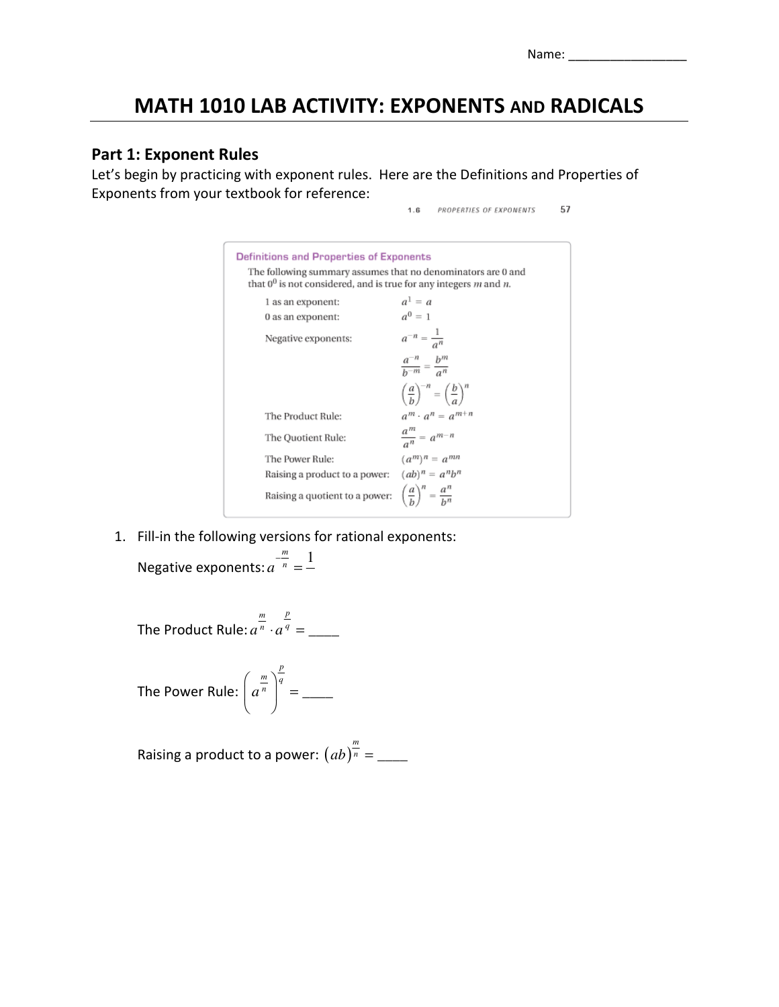# MATH 1010 LAB ACTIVITY: EXPONENTS AND RADICALS

## Part 1: Exponent Rules

Let's begin by practicing with exponent rules. Here are the Definitions and Properties of Exponents from your textbook for reference:

|                                                                                                                                          | 57<br>PROPERTIES OF EXPONENTS<br>1.6                           |
|------------------------------------------------------------------------------------------------------------------------------------------|----------------------------------------------------------------|
| <b>Definitions and Properties of Exponents</b>                                                                                           |                                                                |
| The following summary assumes that no denominators are 0 and<br>that $0^0$ is not considered, and is true for any integers $m$ and $n$ . |                                                                |
| 1 as an exponent:                                                                                                                        | $a^1 = a$                                                      |
| 0 as an exponent:                                                                                                                        | $a^0 = 1$                                                      |
| Negative exponents:                                                                                                                      | $a^{-n} = \frac{1}{a^n}$                                       |
|                                                                                                                                          | $\frac{a^{-n}}{b^{-m}} = \frac{b^m}{a^n}$                      |
|                                                                                                                                          | $\left(\frac{a}{b}\right)^{-n} = \left(\frac{b}{a}\right)^{n}$ |
| The Product Rule:                                                                                                                        | $a^m \cdot a^n = a^{m+n}$                                      |
| The Quotient Rule:                                                                                                                       | $\frac{a^m}{a^n} = a^{m-n}$                                    |
| The Power Rule:                                                                                                                          | $(a^m)^n = a^{mn}$                                             |
| Raising a product to a power:                                                                                                            | $(ab)^n = a^n b^n$                                             |
| Raising a quotient to a power:                                                                                                           | $\left(\frac{a}{b}\right)^n = \frac{a^n}{b^n}$                 |

1. Fill-in the following versions for rational exponents:

Negative exponents: 
$$
a^{\frac{m}{n}} = \frac{1}{n}
$$

The Product Rule: 
$$
a^{\frac{m}{n}} \cdot a^{\frac{p}{q}} =
$$
 \_\_\_\_\_\_\_

The Power Rule: 
$$
\left(a^{\frac{m}{n}}\right)^{\frac{p}{q}} = \underline{\qquad}
$$

Raising a product to a power:  $(ab)^{\frac{m}{n}} =$  \_\_\_\_\_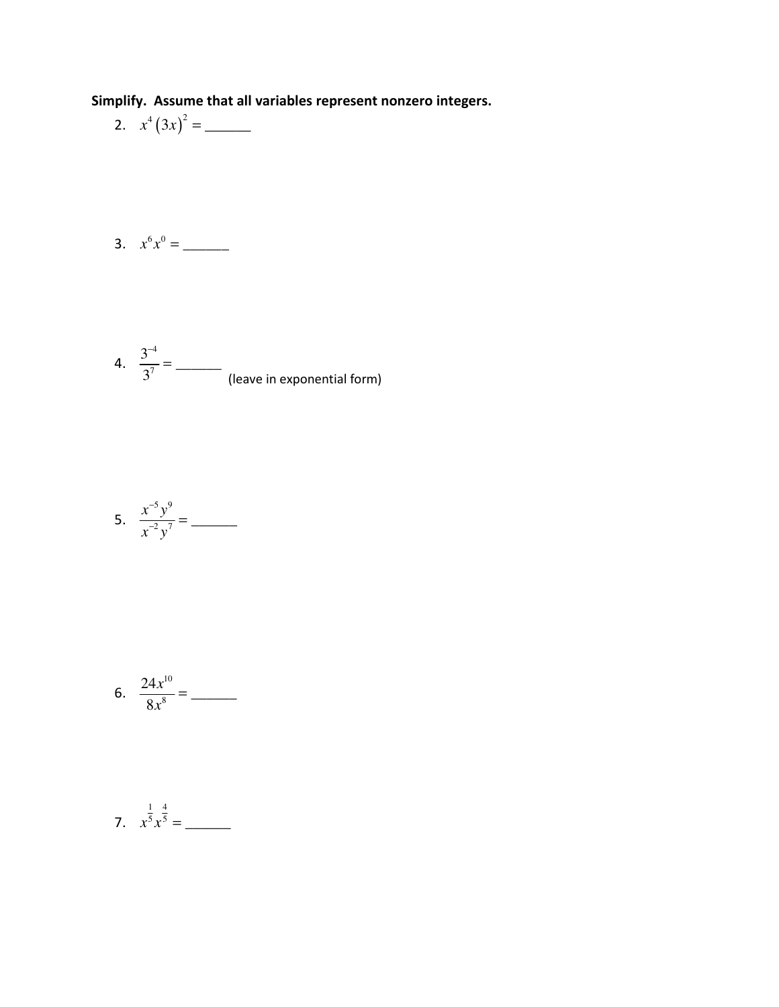Simplify. Assume that all variables represent nonzero integers.

2. 
$$
x^4 (3x)^2 =
$$
 \_\_\_\_\_\_\_

$$
3. \quad x^6 x^0 = \underline{\qquad}
$$

4. 
$$
\frac{3^{-4}}{3^7} = \underline{\hspace{2cm}}
$$
 (leave in exponential form)

5. 
$$
\frac{x^{-5}y^9}{x^{-2}y^7} =
$$

6. 
$$
\frac{24x^{10}}{8x^8} =
$$

7. 
$$
x^{\frac{1}{5}}x^{\frac{4}{5}} =
$$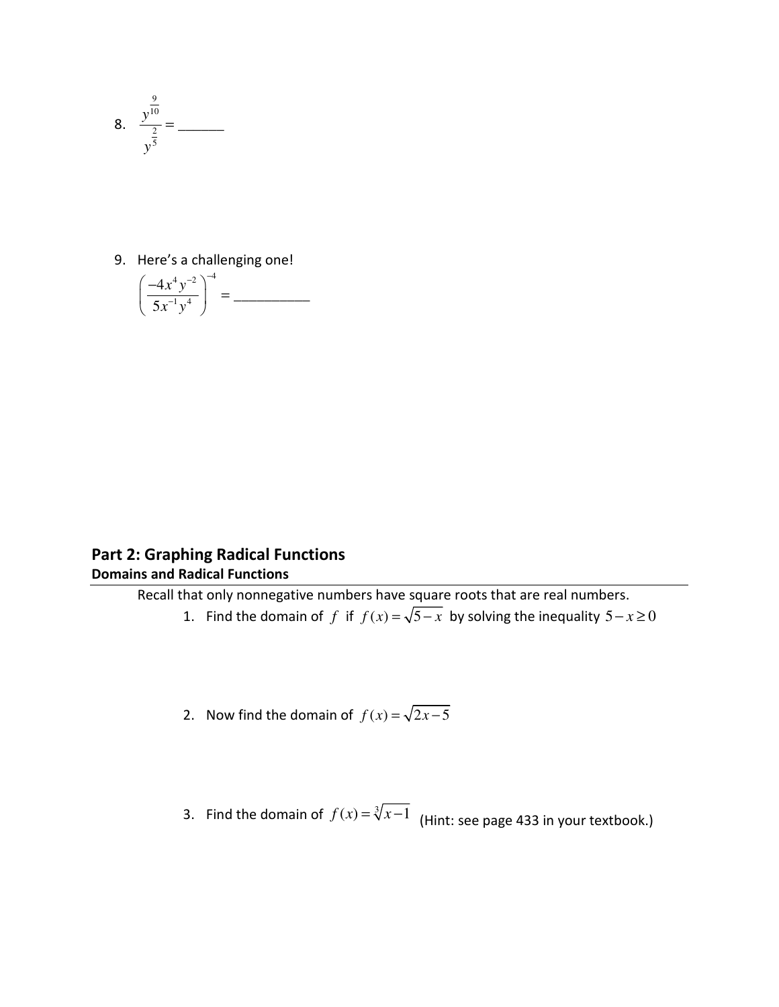

9. Here's a challenging one!

$$
\left(\frac{-4x^4y^{-2}}{5x^{-1}y^4}\right)^{-4} = \underline{\qquad}
$$

# Part 2: Graphing Radical Functions Domains and Radical Functions

Recall that only nonnegative numbers have square roots that are real numbers.

- 1. Find the domain of *f* if  $f(x) = \sqrt{5-x}$  by solving the inequality  $5 x \ge 0$
- 2. Now find the domain of  $f(x) = \sqrt{2x-5}$
- 3. Find the domain of  $f(x) = \sqrt[3]{x-1}$  (Hint: see page 433 in your textbook.)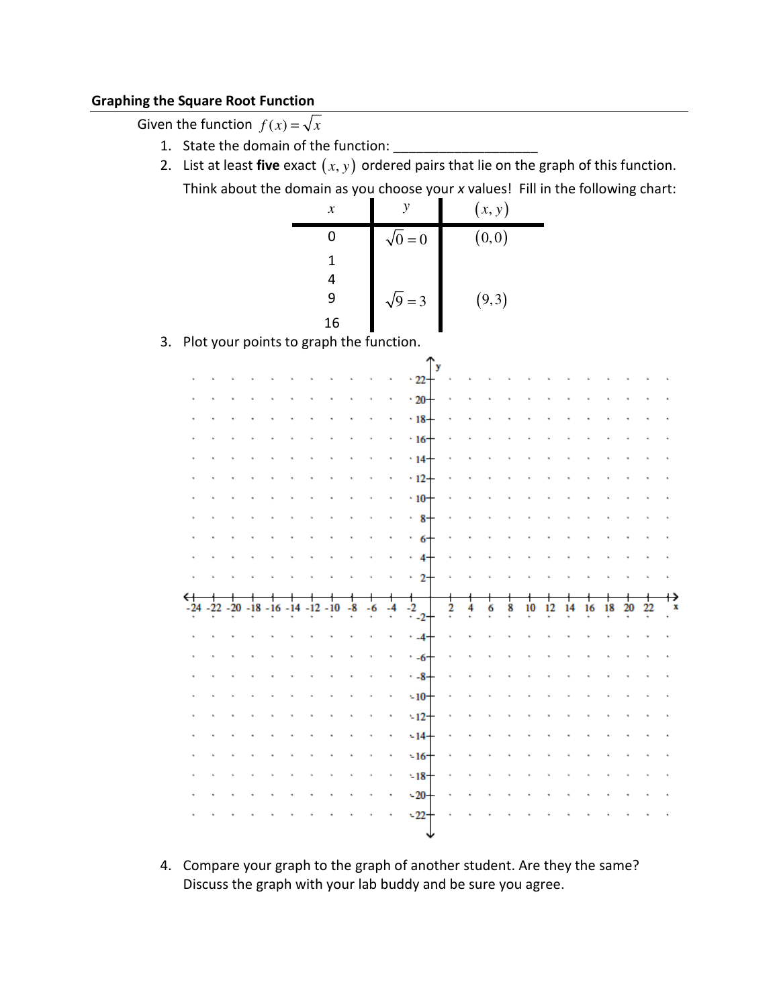#### Graphing the Square Root Function

Given the function  $f(x) = \sqrt{x}$ 

- 1. State the domain of the function: \_\_\_\_\_\_\_\_\_\_\_\_\_\_\_\_\_\_\_
- 2. List at least five exact  $(x, y)$  ordered pairs that lie on the graph of this function. Think about the domain as you choose your x values! Fill in the following chart:

|    |                                         |                                          |  |           |  | $\boldsymbol{\mathcal{X}}$ |      |              | $\boldsymbol{y}$            |                    | (x, y) |   |    |    |    |    |    |    |    |   |
|----|-----------------------------------------|------------------------------------------|--|-----------|--|----------------------------|------|--------------|-----------------------------|--------------------|--------|---|----|----|----|----|----|----|----|---|
|    |                                         |                                          |  | $\pmb{0}$ |  |                            |      | $\sqrt{0}=0$ |                             | $\overline{(0,0)}$ |        |   |    |    |    |    |    |    |    |   |
|    |                                         |                                          |  |           |  | $\mathbf 1$                |      |              |                             |                    |        |   |    |    |    |    |    |    |    |   |
|    |                                         |                                          |  |           |  | $\overline{\mathbf{4}}$    |      |              |                             |                    |        |   |    |    |    |    |    |    |    |   |
|    |                                         |                                          |  |           |  | 9                          |      |              | $\sqrt{9} = 3$              |                    | (9, 3) |   |    |    |    |    |    |    |    |   |
|    |                                         |                                          |  |           |  | 16                         |      |              |                             |                    |        |   |    |    |    |    |    |    |    |   |
| 3. | Plot your points to graph the function. |                                          |  |           |  |                            |      |              |                             |                    |        |   |    |    |    |    |    |    |    |   |
|    |                                         |                                          |  |           |  |                            |      |              | y                           |                    |        |   |    |    |    |    |    |    |    |   |
|    |                                         |                                          |  |           |  |                            |      |              | 22                          |                    |        |   |    |    |    |    |    |    |    |   |
|    |                                         |                                          |  |           |  |                            |      |              | $-20$                       |                    |        |   |    |    |    |    |    |    |    |   |
|    |                                         |                                          |  |           |  |                            |      |              | $-18$                       |                    |        |   |    |    |    |    |    |    |    |   |
|    |                                         |                                          |  |           |  |                            |      |              | $\cdot$ 16<br>$-14$         |                    |        |   |    |    |    |    |    |    |    |   |
|    |                                         |                                          |  |           |  |                            |      |              | 12                          |                    |        |   |    |    |    |    |    |    |    |   |
|    |                                         |                                          |  |           |  |                            |      |              | $\cdot$ 10                  |                    |        |   |    |    |    |    |    |    |    |   |
|    |                                         |                                          |  |           |  |                            |      |              | $\cdot$ 8                   |                    |        |   |    |    |    |    |    |    |    |   |
|    |                                         |                                          |  |           |  |                            |      |              | 6                           |                    |        |   |    |    |    |    |    |    |    |   |
|    |                                         |                                          |  |           |  |                            |      |              | 4                           |                    |        |   |    |    |    |    |    |    |    |   |
|    |                                         |                                          |  |           |  |                            |      |              | $\mathbf{2}$                |                    |        |   |    |    |    |    |    |    |    |   |
|    |                                         |                                          |  |           |  |                            |      |              |                             |                    |        |   |    |    |    |    |    |    |    |   |
|    |                                         | $-24 - 22 - 20 - 18 - 16 - 14 - 12 - 10$ |  |           |  |                            | $-8$ | -6           | $\frac{1}{2}$ <sub>-2</sub> | 2                  | 6      | 8 | 10 | 12 | 14 | 16 | 18 | 20 | 22 | X |
|    |                                         |                                          |  |           |  |                            |      |              | $-4$                        |                    |        |   |    |    |    |    |    |    |    |   |
|    |                                         |                                          |  |           |  |                            |      |              | $-6$                        |                    |        |   |    |    |    |    |    |    |    |   |
|    |                                         |                                          |  |           |  |                            |      |              | $-8$                        |                    |        |   |    |    |    |    |    |    |    |   |
|    |                                         |                                          |  |           |  |                            |      |              | $-10$                       |                    |        |   |    |    |    |    |    |    |    |   |
|    |                                         |                                          |  |           |  |                            |      |              | $-12$                       |                    |        |   |    |    |    |    |    |    |    |   |
|    |                                         |                                          |  |           |  |                            |      |              | $-14$                       |                    |        |   |    |    |    |    |    |    |    |   |
|    |                                         |                                          |  |           |  |                            |      |              | $-16$                       |                    |        |   |    |    |    |    |    |    |    |   |
|    |                                         |                                          |  |           |  |                            |      |              | $-18-$                      |                    |        |   |    |    |    |    |    |    |    |   |
|    |                                         |                                          |  |           |  |                            |      |              | $-20-$                      |                    |        |   |    |    |    |    |    |    |    |   |
|    |                                         |                                          |  |           |  |                            |      |              | $-22$                       |                    |        |   |    |    |    |    |    |    |    |   |
|    |                                         |                                          |  |           |  |                            |      |              |                             |                    |        |   |    |    |    |    |    |    |    |   |

4. Compare your graph to the graph of another student. Are they the same? Discuss the graph with your lab buddy and be sure you agree.